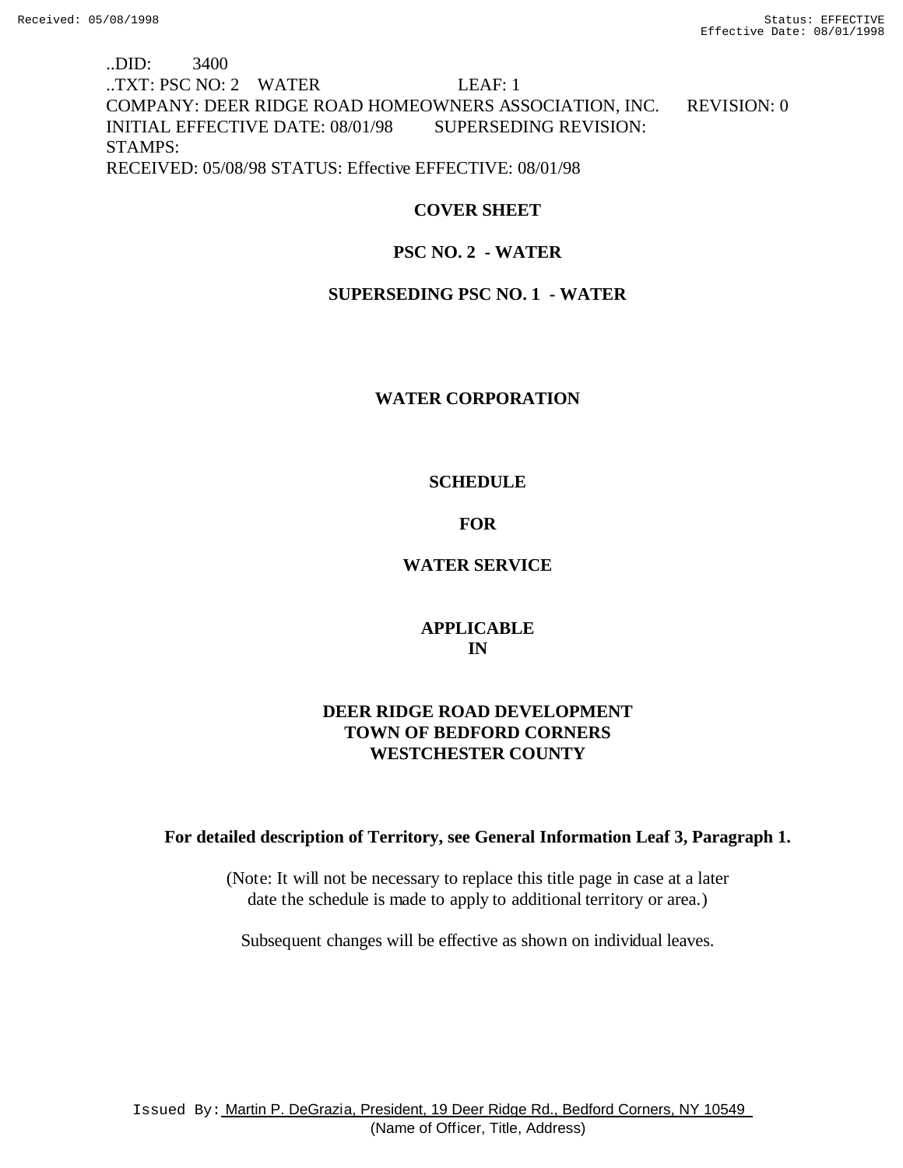# ..DID: 3400 ..TXT: PSC NO: 2 WATER LEAF: 1 COMPANY: DEER RIDGE ROAD HOMEOWNERS ASSOCIATION, INC. REVISION: 0 INITIAL EFFECTIVE DATE: 08/01/98 SUPERSEDING REVISION: STAMPS: RECEIVED: 05/08/98 STATUS: Effective EFFECTIVE: 08/01/98

## **COVER SHEET**

# **PSC NO. 2 - WATER**

## **SUPERSEDING PSC NO. 1 - WATER**

## **WATER CORPORATION**

## **SCHEDULE**

# **FOR**

# **WATER SERVICE**

# **APPLICABLE IN**

# **DEER RIDGE ROAD DEVELOPMENT TOWN OF BEDFORD CORNERS WESTCHESTER COUNTY**

## **For detailed description of Territory, see General Information Leaf 3, Paragraph 1.**

(Note: It will not be necessary to replace this title page in case at a later date the schedule is made to apply to additional territory or area.)

Subsequent changes will be effective as shown on individual leaves.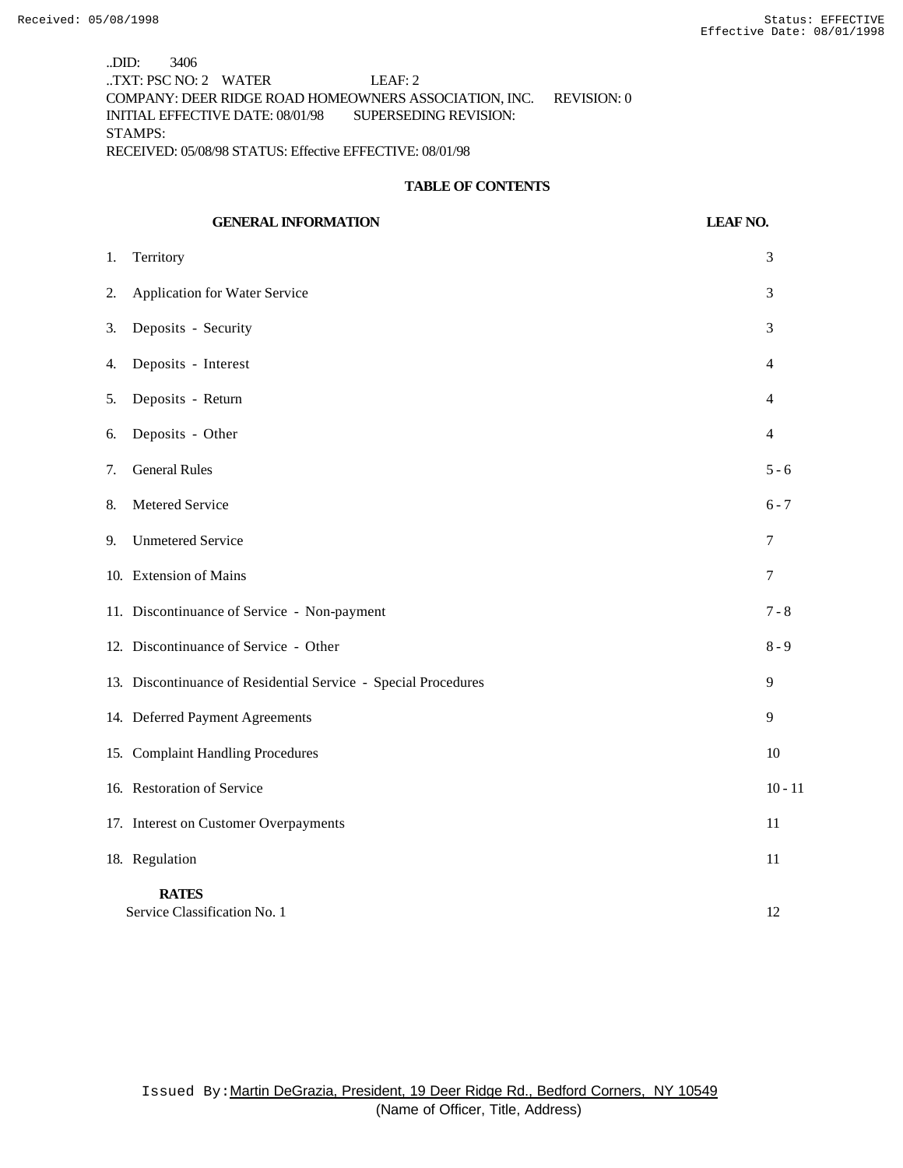..DID: 3406 ..TXT: PSC NO: 2 WATER LEAF: 2 COMPANY: DEER RIDGE ROAD HOMEOWNERS ASSOCIATION, INC. REVISION: 0 INITIAL EFFECTIVE DATE: 08/01/98 SUPERSEDING REVISION: STAMPS: RECEIVED: 05/08/98 STATUS: Effective EFFECTIVE: 08/01/98

#### **TABLE OF CONTENTS**

# **GENERAL INFORMATION LEAF NO.** 1. Territory 3 2. Application for Water Service 3 3. Deposits - Security 3 4. Deposits - Interest 4 5. Deposits - Return 4 6. Deposits - Other 4 7. General Rules 5 - 6 8. Metered Service 6 - 7 9. Unmetered Service 7 10. Extension of Mains 7 11. Discontinuance of Service - Non-payment 7 - 8 12. Discontinuance of Service - Other 8 - 9 13. Discontinuance of Residential Service - Special Procedures 9 14. Deferred Payment Agreements 9 15. Complaint Handling Procedures 10 16. Restoration of Service 10 - 11 17. Interest on Customer Overpayments 11 18. Regulation 11 **RATES** Service Classification No. 1 12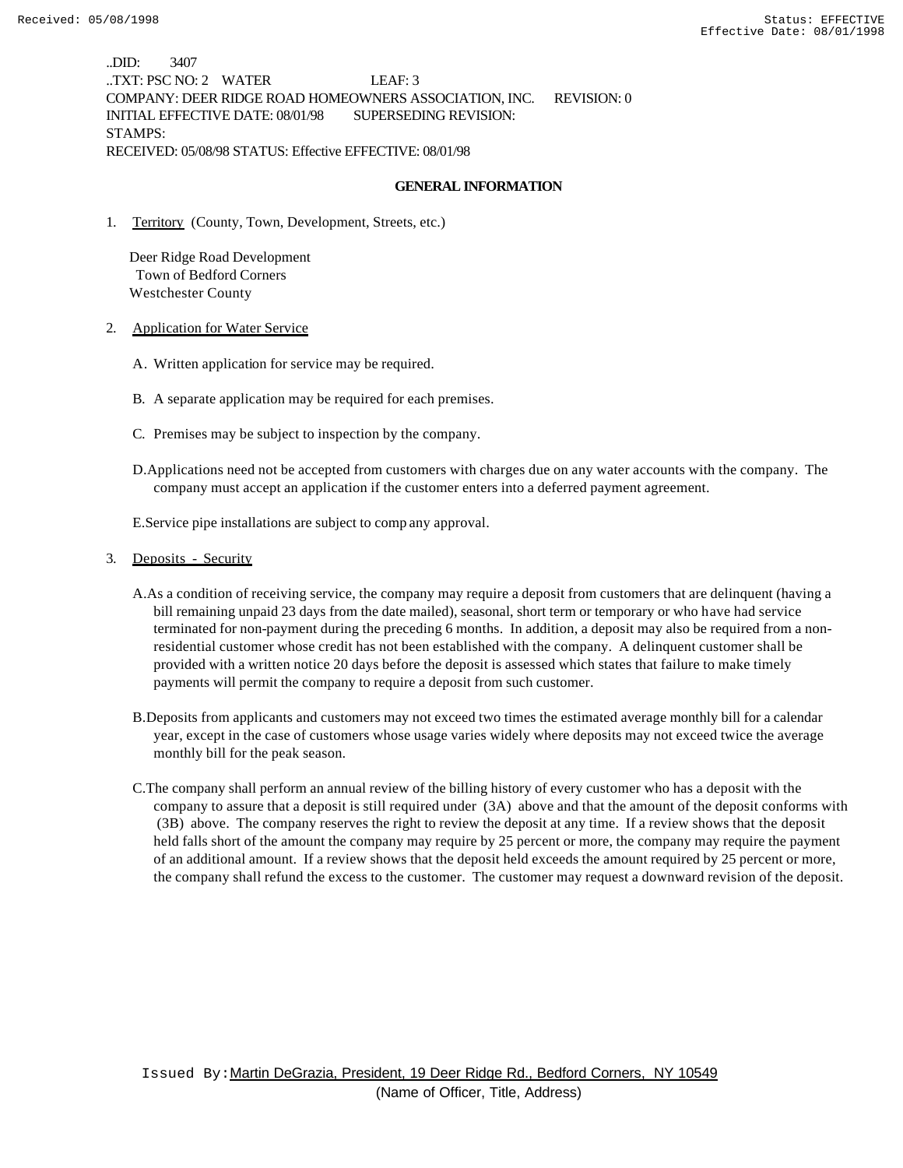..DID: 3407 ..TXT: PSC NO: 2 WATER LEAF: 3 COMPANY: DEER RIDGE ROAD HOMEOWNERS ASSOCIATION, INC. REVISION: 0 INITIAL EFFECTIVE DATE: 08/01/98 SUPERSEDING REVISION: STAMPS: RECEIVED: 05/08/98 STATUS: Effective EFFECTIVE: 08/01/98

#### **GENERAL INFORMATION**

1. Territory (County, Town, Development, Streets, etc.)

 Deer Ridge Road Development Town of Bedford Corners Westchester County

- 2. Application for Water Service
	- A. Written application for service may be required.
	- B. A separate application may be required for each premises.
	- C. Premises may be subject to inspection by the company.
	- D.Applications need not be accepted from customers with charges due on any water accounts with the company. The company must accept an application if the customer enters into a deferred payment agreement.

E.Service pipe installations are subject to comp any approval.

- 3. Deposits Security
	- A.As a condition of receiving service, the company may require a deposit from customers that are delinquent (having a bill remaining unpaid 23 days from the date mailed), seasonal, short term or temporary or who have had service terminated for non-payment during the preceding 6 months. In addition, a deposit may also be required from a nonresidential customer whose credit has not been established with the company. A delinquent customer shall be provided with a written notice 20 days before the deposit is assessed which states that failure to make timely payments will permit the company to require a deposit from such customer.
	- B.Deposits from applicants and customers may not exceed two times the estimated average monthly bill for a calendar year, except in the case of customers whose usage varies widely where deposits may not exceed twice the average monthly bill for the peak season.
	- C.The company shall perform an annual review of the billing history of every customer who has a deposit with the company to assure that a deposit is still required under (3A) above and that the amount of the deposit conforms with (3B) above. The company reserves the right to review the deposit at any time. If a review shows that the deposit held falls short of the amount the company may require by 25 percent or more, the company may require the payment of an additional amount. If a review shows that the deposit held exceeds the amount required by 25 percent or more, the company shall refund the excess to the customer. The customer may request a downward revision of the deposit.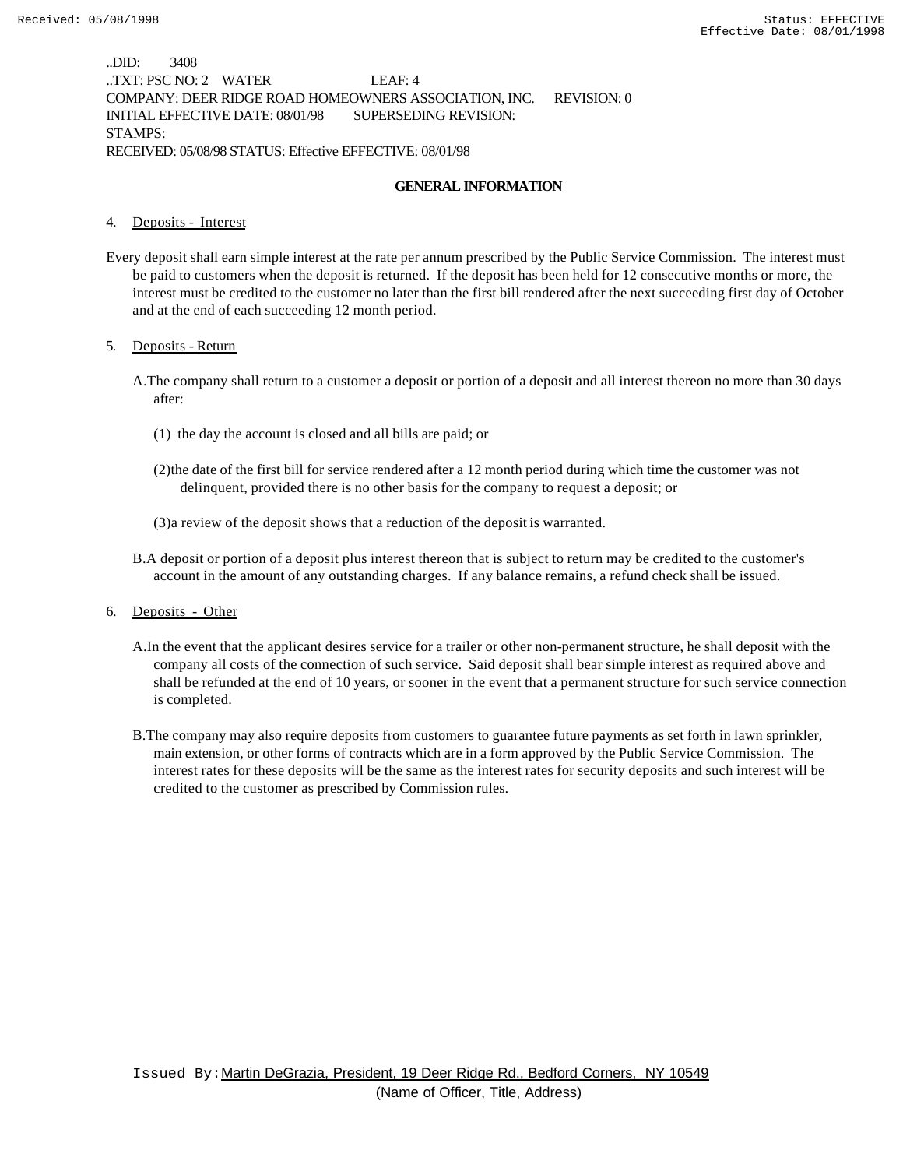..DID: 3408 ..TXT: PSC NO: 2 WATER LEAF: 4 COMPANY: DEER RIDGE ROAD HOMEOWNERS ASSOCIATION, INC. REVISION: 0 INITIAL EFFECTIVE DATE: 08/01/98 SUPERSEDING REVISION: STAMPS: RECEIVED: 05/08/98 STATUS: Effective EFFECTIVE: 08/01/98

#### **GENERAL INFORMATION**

#### 4. Deposits - Interest

Every deposit shall earn simple interest at the rate per annum prescribed by the Public Service Commission. The interest must be paid to customers when the deposit is returned. If the deposit has been held for 12 consecutive months or more, the interest must be credited to the customer no later than the first bill rendered after the next succeeding first day of October and at the end of each succeeding 12 month period.

#### 5. Deposits - Return

- A.The company shall return to a customer a deposit or portion of a deposit and all interest thereon no more than 30 days after:
	- (1) the day the account is closed and all bills are paid; or
	- (2)the date of the first bill for service rendered after a 12 month period during which time the customer was not delinquent, provided there is no other basis for the company to request a deposit; or
	- (3)a review of the deposit shows that a reduction of the deposit is warranted.
- B.A deposit or portion of a deposit plus interest thereon that is subject to return may be credited to the customer's account in the amount of any outstanding charges. If any balance remains, a refund check shall be issued.
- 6. Deposits Other
	- A.In the event that the applicant desires service for a trailer or other non-permanent structure, he shall deposit with the company all costs of the connection of such service. Said deposit shall bear simple interest as required above and shall be refunded at the end of 10 years, or sooner in the event that a permanent structure for such service connection is completed.
	- B.The company may also require deposits from customers to guarantee future payments as set forth in lawn sprinkler, main extension, or other forms of contracts which are in a form approved by the Public Service Commission. The interest rates for these deposits will be the same as the interest rates for security deposits and such interest will be credited to the customer as prescribed by Commission rules.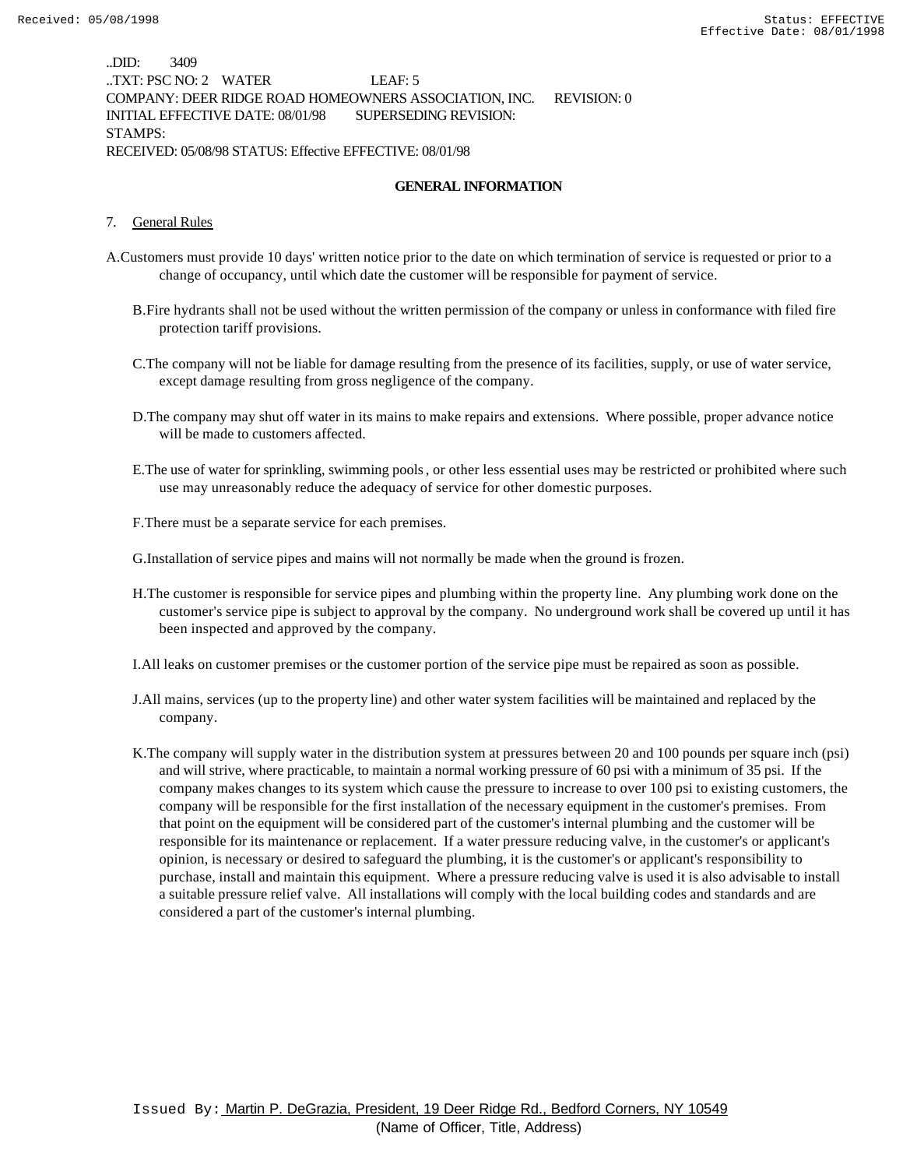..DID: 3409 ..TXT: PSC NO: 2 WATER LEAF: 5 COMPANY: DEER RIDGE ROAD HOMEOWNERS ASSOCIATION, INC. REVISION: 0 INITIAL EFFECTIVE DATE: 08/01/98 SUPERSEDING REVISION: STAMPS: RECEIVED: 05/08/98 STATUS: Effective EFFECTIVE: 08/01/98

#### **GENERAL INFORMATION**

#### 7. General Rules

- A.Customers must provide 10 days' written notice prior to the date on which termination of service is requested or prior to a change of occupancy, until which date the customer will be responsible for payment of service.
	- B.Fire hydrants shall not be used without the written permission of the company or unless in conformance with filed fire protection tariff provisions.
	- C.The company will not be liable for damage resulting from the presence of its facilities, supply, or use of water service, except damage resulting from gross negligence of the company.
	- D.The company may shut off water in its mains to make repairs and extensions. Where possible, proper advance notice will be made to customers affected.
	- E.The use of water for sprinkling, swimming pools, or other less essential uses may be restricted or prohibited where such use may unreasonably reduce the adequacy of service for other domestic purposes.
	- F.There must be a separate service for each premises.

G.Installation of service pipes and mains will not normally be made when the ground is frozen.

- H.The customer is responsible for service pipes and plumbing within the property line. Any plumbing work done on the customer's service pipe is subject to approval by the company. No underground work shall be covered up until it has been inspected and approved by the company.
- I.All leaks on customer premises or the customer portion of the service pipe must be repaired as soon as possible.
- J.All mains, services (up to the property line) and other water system facilities will be maintained and replaced by the company.
- K.The company will supply water in the distribution system at pressures between 20 and 100 pounds per square inch (psi) and will strive, where practicable, to maintain a normal working pressure of 60 psi with a minimum of 35 psi. If the company makes changes to its system which cause the pressure to increase to over 100 psi to existing customers, the company will be responsible for the first installation of the necessary equipment in the customer's premises. From that point on the equipment will be considered part of the customer's internal plumbing and the customer will be responsible for its maintenance or replacement. If a water pressure reducing valve, in the customer's or applicant's opinion, is necessary or desired to safeguard the plumbing, it is the customer's or applicant's responsibility to purchase, install and maintain this equipment. Where a pressure reducing valve is used it is also advisable to install a suitable pressure relief valve. All installations will comply with the local building codes and standards and are considered a part of the customer's internal plumbing.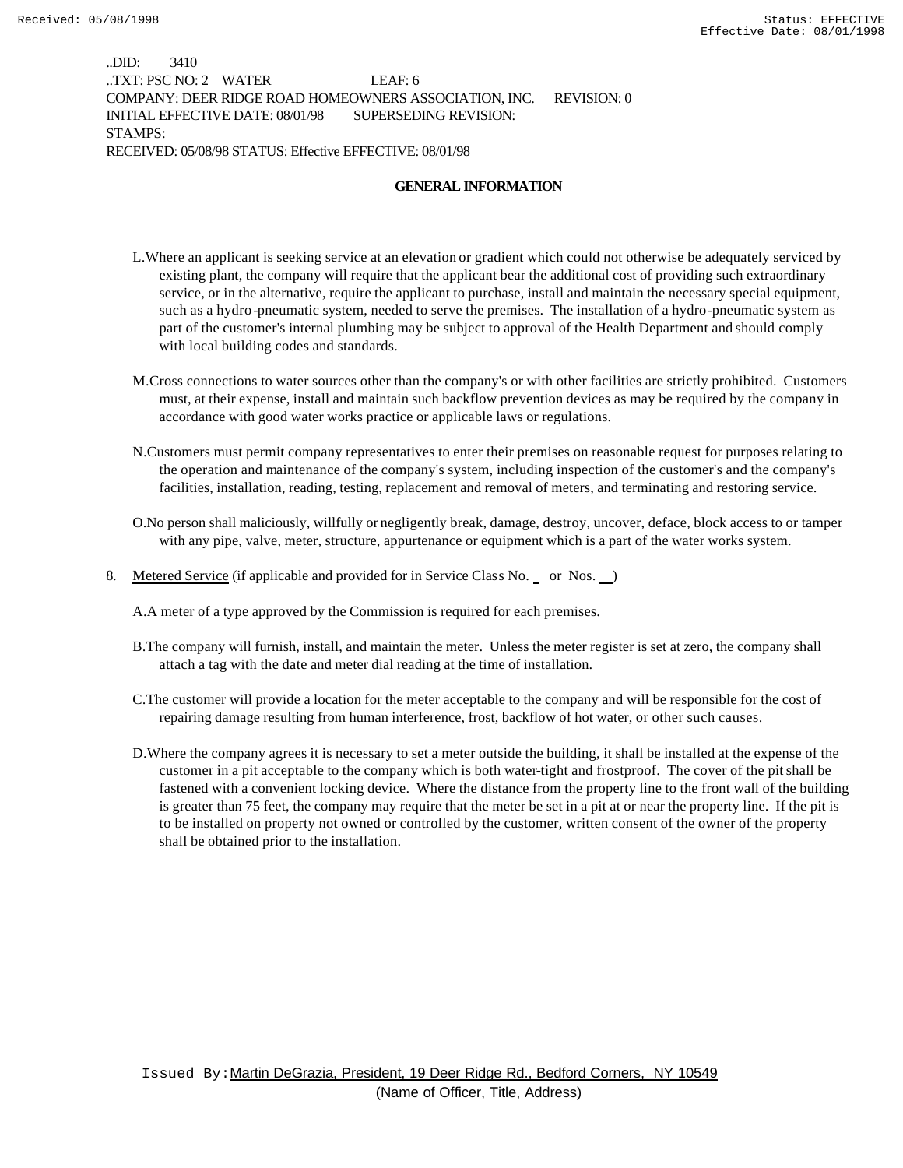..DID: 3410 ..TXT: PSC NO: 2 WATER LEAF: 6 COMPANY: DEER RIDGE ROAD HOMEOWNERS ASSOCIATION, INC. REVISION: 0 INITIAL EFFECTIVE DATE: 08/01/98 SUPERSEDING REVISION: STAMPS: RECEIVED: 05/08/98 STATUS: Effective EFFECTIVE: 08/01/98

#### **GENERAL INFORMATION**

- L.Where an applicant is seeking service at an elevation or gradient which could not otherwise be adequately serviced by existing plant, the company will require that the applicant bear the additional cost of providing such extraordinary service, or in the alternative, require the applicant to purchase, install and maintain the necessary special equipment, such as a hydro-pneumatic system, needed to serve the premises. The installation of a hydro-pneumatic system as part of the customer's internal plumbing may be subject to approval of the Health Department and should comply with local building codes and standards.
- M.Cross connections to water sources other than the company's or with other facilities are strictly prohibited. Customers must, at their expense, install and maintain such backflow prevention devices as may be required by the company in accordance with good water works practice or applicable laws or regulations.
- N.Customers must permit company representatives to enter their premises on reasonable request for purposes relating to the operation and maintenance of the company's system, including inspection of the customer's and the company's facilities, installation, reading, testing, replacement and removal of meters, and terminating and restoring service.
- O.No person shall maliciously, willfully or negligently break, damage, destroy, uncover, deface, block access to or tamper with any pipe, valve, meter, structure, appurtenance or equipment which is a part of the water works system.
- 8. Metered Service (if applicable and provided for in Service Class No. or Nos. )

A.A meter of a type approved by the Commission is required for each premises.

- B.The company will furnish, install, and maintain the meter. Unless the meter register is set at zero, the company shall attach a tag with the date and meter dial reading at the time of installation.
- C.The customer will provide a location for the meter acceptable to the company and will be responsible for the cost of repairing damage resulting from human interference, frost, backflow of hot water, or other such causes.
- D.Where the company agrees it is necessary to set a meter outside the building, it shall be installed at the expense of the customer in a pit acceptable to the company which is both water-tight and frostproof. The cover of the pit shall be fastened with a convenient locking device. Where the distance from the property line to the front wall of the building is greater than 75 feet, the company may require that the meter be set in a pit at or near the property line. If the pit is to be installed on property not owned or controlled by the customer, written consent of the owner of the property shall be obtained prior to the installation.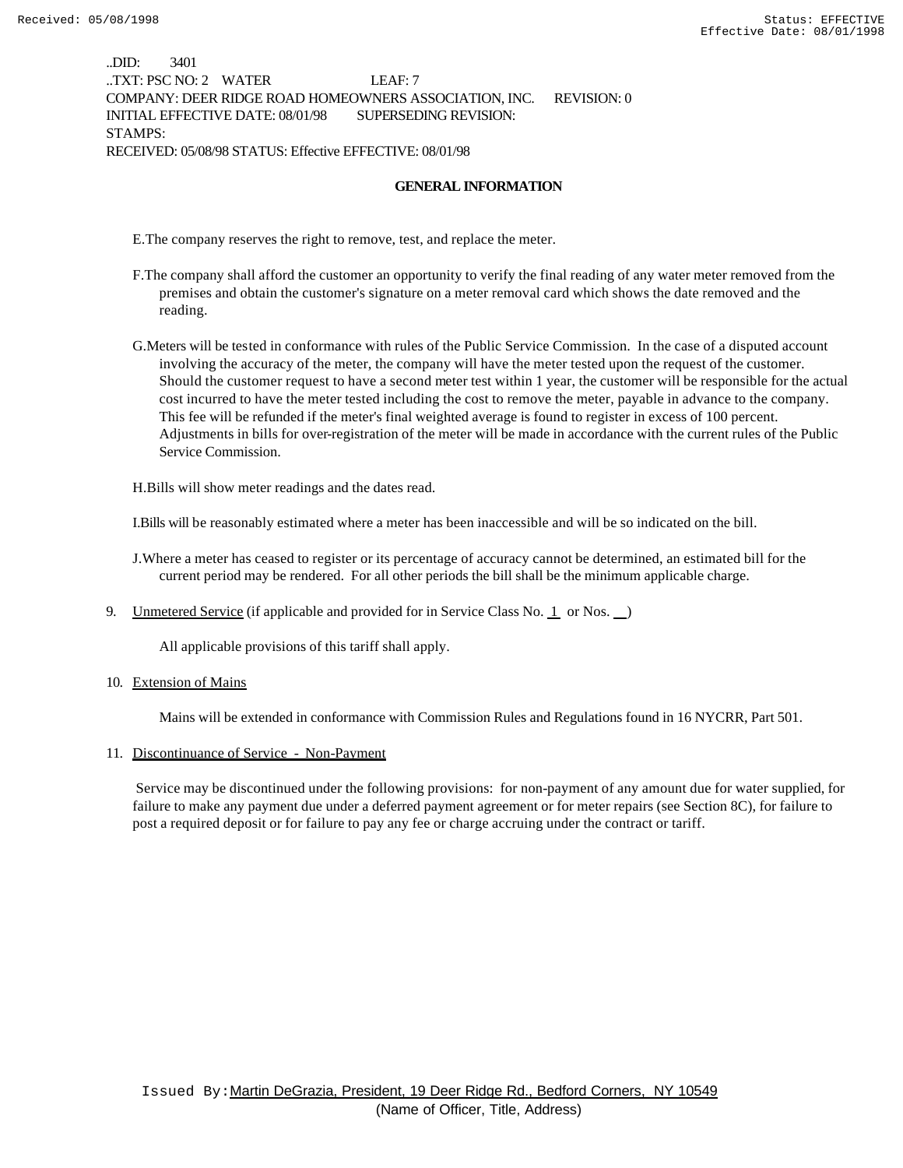..DID: 3401 ..TXT: PSC NO: 2 WATER LEAF: 7 COMPANY: DEER RIDGE ROAD HOMEOWNERS ASSOCIATION, INC. REVISION: 0 INITIAL EFFECTIVE DATE: 08/01/98 SUPERSEDING REVISION: STAMPS: RECEIVED: 05/08/98 STATUS: Effective EFFECTIVE: 08/01/98

#### **GENERAL INFORMATION**

E.The company reserves the right to remove, test, and replace the meter.

- F.The company shall afford the customer an opportunity to verify the final reading of any water meter removed from the premises and obtain the customer's signature on a meter removal card which shows the date removed and the reading.
- G.Meters will be tested in conformance with rules of the Public Service Commission. In the case of a disputed account involving the accuracy of the meter, the company will have the meter tested upon the request of the customer. Should the customer request to have a second meter test within 1 year, the customer will be responsible for the actual cost incurred to have the meter tested including the cost to remove the meter, payable in advance to the company. This fee will be refunded if the meter's final weighted average is found to register in excess of 100 percent. Adjustments in bills for over-registration of the meter will be made in accordance with the current rules of the Public Service Commission.

H.Bills will show meter readings and the dates read.

I.Bills will be reasonably estimated where a meter has been inaccessible and will be so indicated on the bill.

J.Where a meter has ceased to register or its percentage of accuracy cannot be determined, an estimated bill for the current period may be rendered. For all other periods the bill shall be the minimum applicable charge.

9. Unmetered Service (if applicable and provided for in Service Class No.  $\perp$  or Nos.  $\perp$ )

All applicable provisions of this tariff shall apply.

10. Extension of Mains

Mains will be extended in conformance with Commission Rules and Regulations found in 16 NYCRR, Part 501.

#### 11. Discontinuance of Service - Non-Payment

 Service may be discontinued under the following provisions: for non-payment of any amount due for water supplied, for failure to make any payment due under a deferred payment agreement or for meter repairs (see Section 8C), for failure to post a required deposit or for failure to pay any fee or charge accruing under the contract or tariff.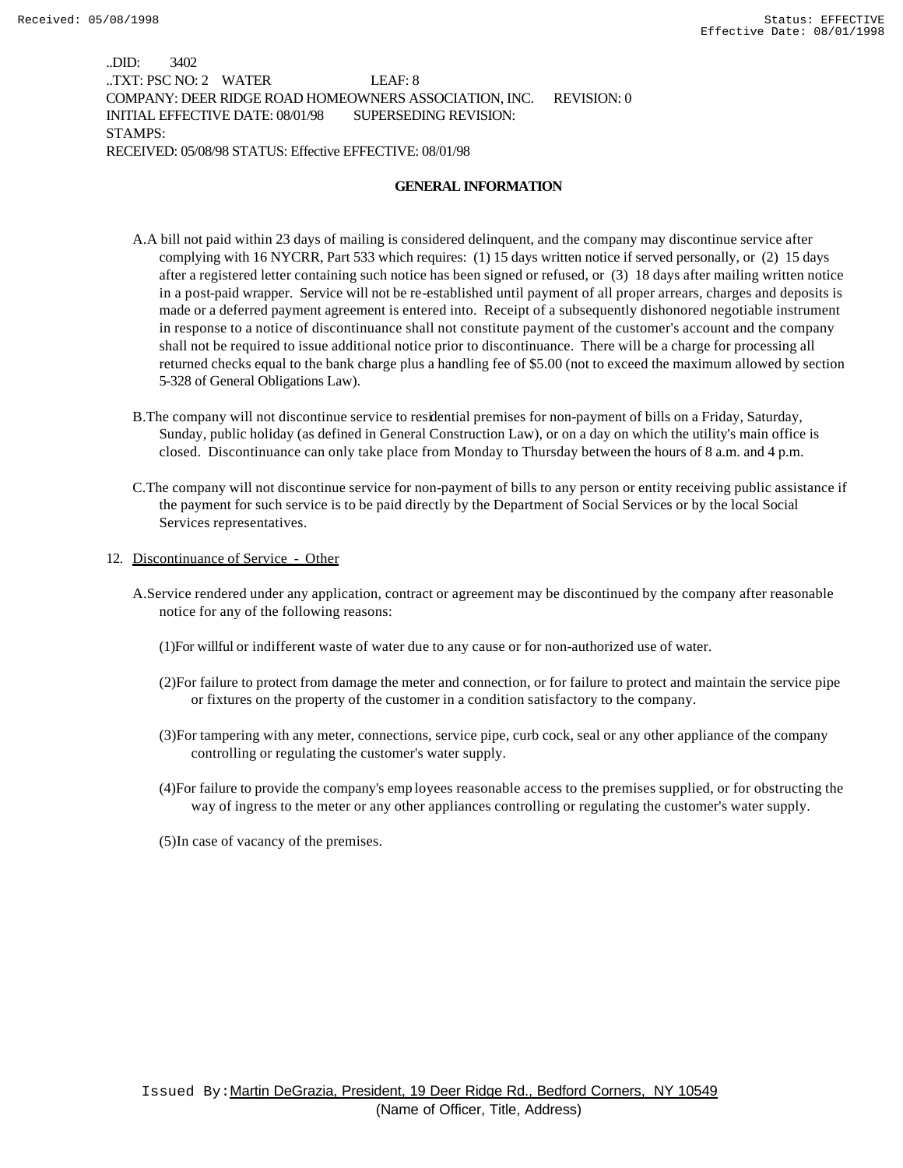..DID: 3402 ..TXT: PSC NO: 2 WATER LEAF: 8 COMPANY: DEER RIDGE ROAD HOMEOWNERS ASSOCIATION, INC. REVISION: 0 INITIAL EFFECTIVE DATE: 08/01/98 SUPERSEDING REVISION: STAMPS: RECEIVED: 05/08/98 STATUS: Effective EFFECTIVE: 08/01/98

#### **GENERAL INFORMATION**

- A.A bill not paid within 23 days of mailing is considered delinquent, and the company may discontinue service after complying with 16 NYCRR, Part 533 which requires: (1) 15 days written notice if served personally, or (2) 15 days after a registered letter containing such notice has been signed or refused, or (3) 18 days after mailing written notice in a post-paid wrapper. Service will not be re-established until payment of all proper arrears, charges and deposits is made or a deferred payment agreement is entered into. Receipt of a subsequently dishonored negotiable instrument in response to a notice of discontinuance shall not constitute payment of the customer's account and the company shall not be required to issue additional notice prior to discontinuance. There will be a charge for processing all returned checks equal to the bank charge plus a handling fee of \$5.00 (not to exceed the maximum allowed by section 5-328 of General Obligations Law).
- B.The company will not discontinue service to residential premises for non-payment of bills on a Friday, Saturday, Sunday, public holiday (as defined in General Construction Law), or on a day on which the utility's main office is closed. Discontinuance can only take place from Monday to Thursday between the hours of 8 a.m. and 4 p.m.
- C.The company will not discontinue service for non-payment of bills to any person or entity receiving public assistance if the payment for such service is to be paid directly by the Department of Social Services or by the local Social Services representatives.
- 12. Discontinuance of Service Other
	- A.Service rendered under any application, contract or agreement may be discontinued by the company after reasonable notice for any of the following reasons:
		- (1)For willful or indifferent waste of water due to any cause or for non-authorized use of water.
		- (2)For failure to protect from damage the meter and connection, or for failure to protect and maintain the service pipe or fixtures on the property of the customer in a condition satisfactory to the company.
		- (3)For tampering with any meter, connections, service pipe, curb cock, seal or any other appliance of the company controlling or regulating the customer's water supply.
		- (4)For failure to provide the company's emp loyees reasonable access to the premises supplied, or for obstructing the way of ingress to the meter or any other appliances controlling or regulating the customer's water supply.
		- (5)In case of vacancy of the premises.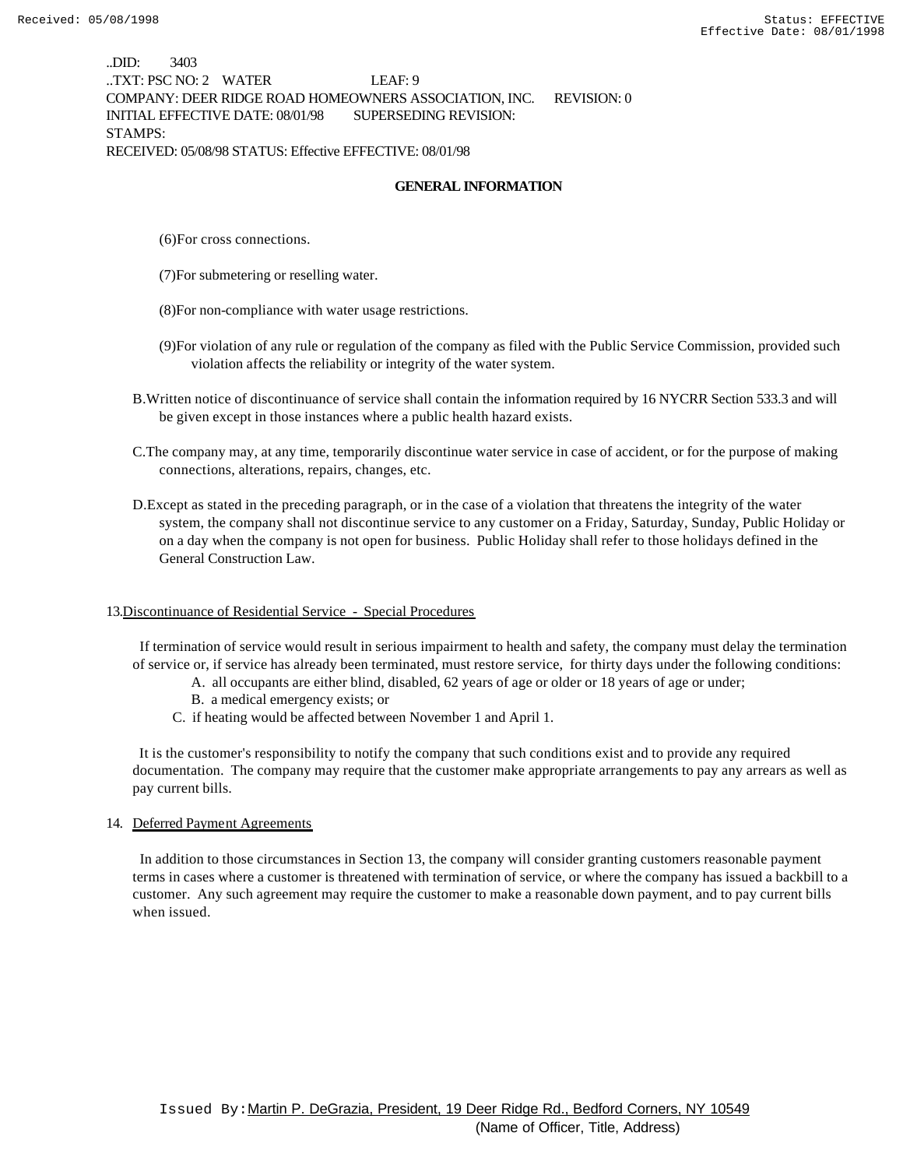..DID: 3403 ..TXT: PSC NO: 2 WATER LEAF: 9 COMPANY: DEER RIDGE ROAD HOMEOWNERS ASSOCIATION, INC. REVISION: 0 INITIAL EFFECTIVE DATE: 08/01/98 SUPERSEDING REVISION: STAMPS: RECEIVED: 05/08/98 STATUS: Effective EFFECTIVE: 08/01/98

#### **GENERAL INFORMATION**

- (6)For cross connections.
- (7)For submetering or reselling water.
- (8)For non-compliance with water usage restrictions.
- (9)For violation of any rule or regulation of the company as filed with the Public Service Commission, provided such violation affects the reliability or integrity of the water system.
- B.Written notice of discontinuance of service shall contain the information required by 16 NYCRR Section 533.3 and will be given except in those instances where a public health hazard exists.
- C.The company may, at any time, temporarily discontinue water service in case of accident, or for the purpose of making connections, alterations, repairs, changes, etc.
- D.Except as stated in the preceding paragraph, or in the case of a violation that threatens the integrity of the water system, the company shall not discontinue service to any customer on a Friday, Saturday, Sunday, Public Holiday or on a day when the company is not open for business. Public Holiday shall refer to those holidays defined in the General Construction Law.

#### 13.Discontinuance of Residential Service - Special Procedures

 If termination of service would result in serious impairment to health and safety, the company must delay the termination of service or, if service has already been terminated, must restore service, for thirty days under the following conditions:

- A. all occupants are either blind, disabled, 62 years of age or older or 18 years of age or under;
- B. a medical emergency exists; or
- C. if heating would be affected between November 1 and April 1.

 It is the customer's responsibility to notify the company that such conditions exist and to provide any required documentation. The company may require that the customer make appropriate arrangements to pay any arrears as well as pay current bills.

#### 14. Deferred Payment Agreements

 In addition to those circumstances in Section 13, the company will consider granting customers reasonable payment terms in cases where a customer is threatened with termination of service, or where the company has issued a backbill to a customer. Any such agreement may require the customer to make a reasonable down payment, and to pay current bills when issued.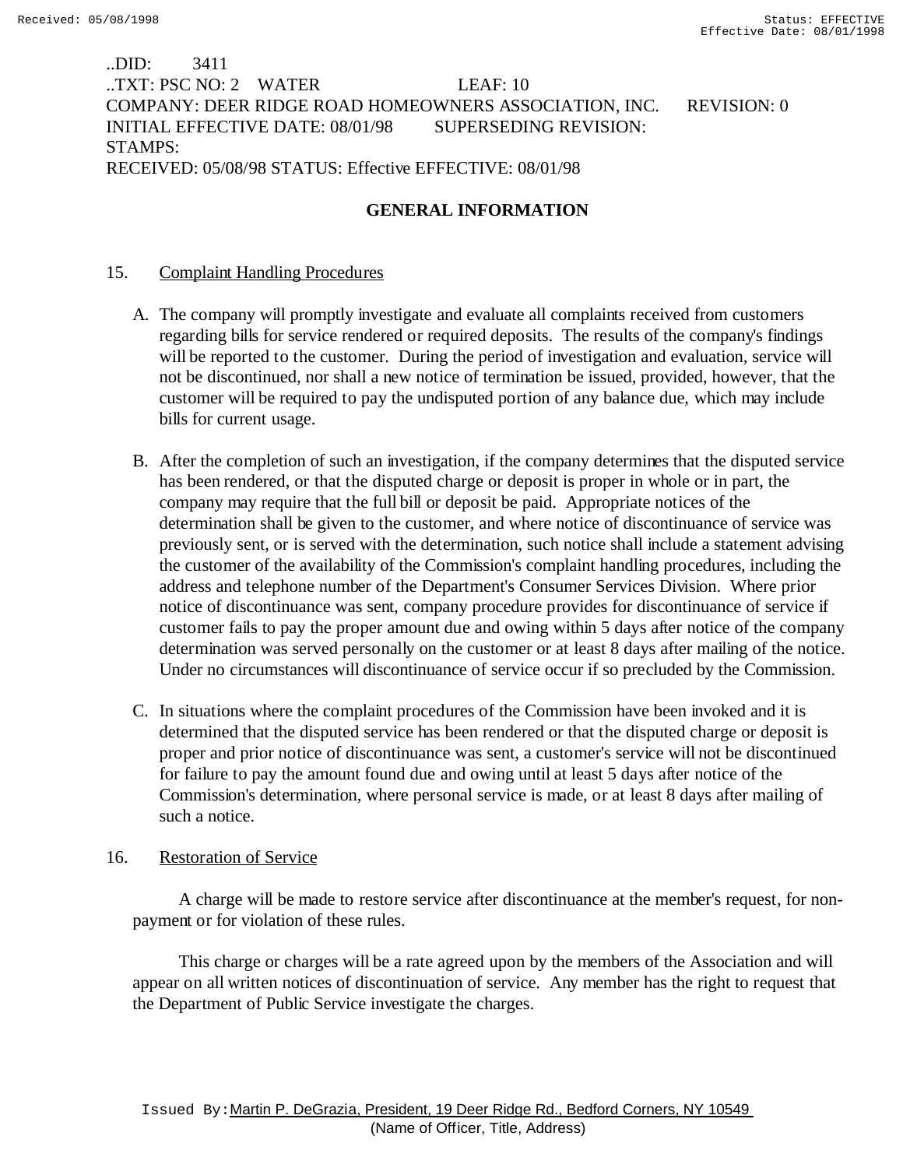# ..DID: 3411 ..TXT: PSC NO: 2 WATER LEAF: 10 COMPANY: DEER RIDGE ROAD HOMEOWNERS ASSOCIATION, INC. REVISION: 0 INITIAL EFFECTIVE DATE: 08/01/98 SUPERSEDING REVISION: STAMPS: RECEIVED: 05/08/98 STATUS: Effective EFFECTIVE: 08/01/98

# **GENERAL INFORMATION**

## 15. Complaint Handling Procedures

- A. The company will promptly investigate and evaluate all complaints received from customers regarding bills for service rendered or required deposits. The results of the company's findings will be reported to the customer. During the period of investigation and evaluation, service will not be discontinued, nor shall a new notice of termination be issued, provided, however, that the customer will be required to pay the undisputed portion of any balance due, which may include bills for current usage.
- B. After the completion of such an investigation, if the company determines that the disputed service has been rendered, or that the disputed charge or deposit is proper in whole or in part, the company may require that the full bill or deposit be paid. Appropriate notices of the determination shall be given to the customer, and where notice of discontinuance of service was previously sent, or is served with the determination, such notice shall include a statement advising the customer of the availability of the Commission's complaint handling procedures, including the address and telephone number of the Department's Consumer Services Division. Where prior notice of discontinuance was sent, company procedure provides for discontinuance of service if customer fails to pay the proper amount due and owing within 5 days after notice of the company determination was served personally on the customer or at least 8 days after mailing of the notice. Under no circumstances will discontinuance of service occur if so precluded by the Commission.
- C. In situations where the complaint procedures of the Commission have been invoked and it is determined that the disputed service has been rendered or that the disputed charge or deposit is proper and prior notice of discontinuance was sent, a customer's service will not be discontinued for failure to pay the amount found due and owing until at least 5 days after notice of the Commission's determination, where personal service is made, or at least 8 days after mailing of such a notice.

## 16. Restoration of Service

 A charge will be made to restore service after discontinuance at the member's request, for nonpayment or for violation of these rules.

 This charge or charges will be a rate agreed upon by the members of the Association and will appear on all written notices of discontinuation of service. Any member has the right to request that the Department of Public Service investigate the charges.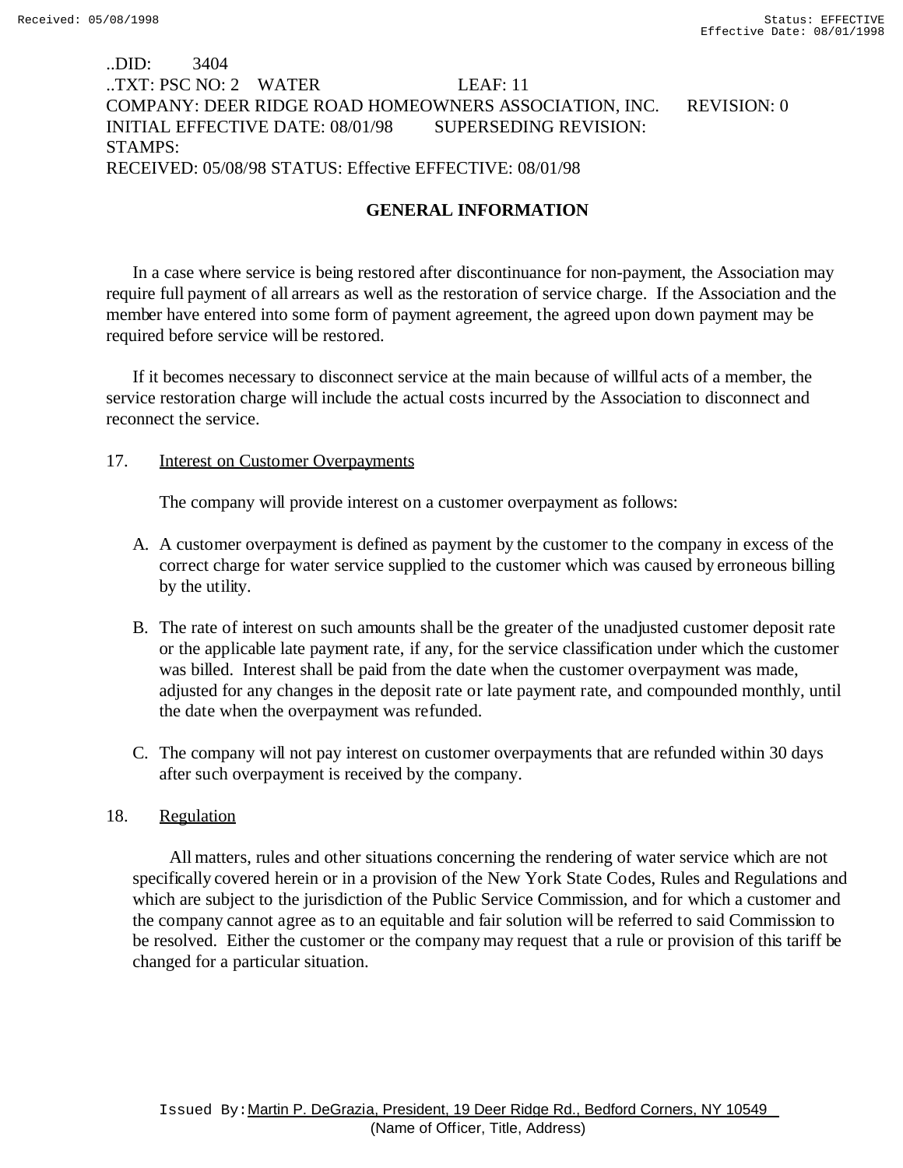# ..DID: 3404 ..TXT: PSC NO: 2 WATER LEAF: 11 COMPANY: DEER RIDGE ROAD HOMEOWNERS ASSOCIATION, INC. REVISION: 0 INITIAL EFFECTIVE DATE: 08/01/98 SUPERSEDING REVISION: STAMPS: RECEIVED: 05/08/98 STATUS: Effective EFFECTIVE: 08/01/98

# **GENERAL INFORMATION**

In a case where service is being restored after discontinuance for non-payment, the Association may require full payment of all arrears as well as the restoration of service charge. If the Association and the member have entered into some form of payment agreement, the agreed upon down payment may be required before service will be restored.

If it becomes necessary to disconnect service at the main because of willful acts of a member, the service restoration charge will include the actual costs incurred by the Association to disconnect and reconnect the service.

## 17. **Interest on Customer Overpayments**

The company will provide interest on a customer overpayment as follows:

- A. A customer overpayment is defined as payment by the customer to the company in excess of the correct charge for water service supplied to the customer which was caused by erroneous billing by the utility.
- B. The rate of interest on such amounts shall be the greater of the unadjusted customer deposit rate or the applicable late payment rate, if any, for the service classification under which the customer was billed. Interest shall be paid from the date when the customer overpayment was made, adjusted for any changes in the deposit rate or late payment rate, and compounded monthly, until the date when the overpayment was refunded.
- C. The company will not pay interest on customer overpayments that are refunded within 30 days after such overpayment is received by the company.

## 18. Regulation

 All matters, rules and other situations concerning the rendering of water service which are not specifically covered herein or in a provision of the New York State Codes, Rules and Regulations and which are subject to the jurisdiction of the Public Service Commission, and for which a customer and the company cannot agree as to an equitable and fair solution will be referred to said Commission to be resolved. Either the customer or the company may request that a rule or provision of this tariff be changed for a particular situation.